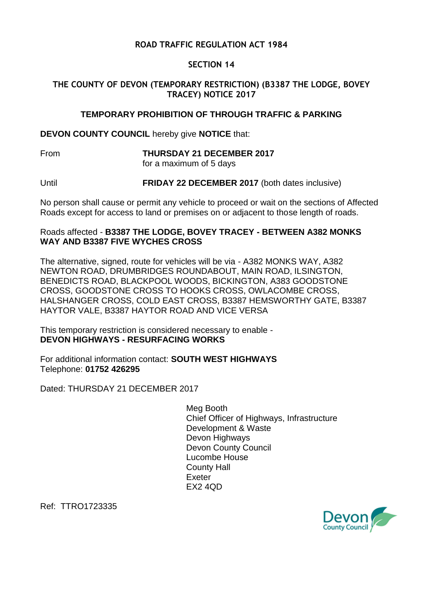# **ROAD TRAFFIC REGULATION ACT 1984**

### **SECTION 14**

# **THE COUNTY OF DEVON (TEMPORARY RESTRICTION) (B3387 THE LODGE, BOVEY TRACEY) NOTICE 2017**

### **TEMPORARY PROHIBITION OF THROUGH TRAFFIC & PARKING**

**DEVON COUNTY COUNCIL** hereby give **NOTICE** that:

From **THURSDAY 21 DECEMBER 2017** for a maximum of 5 days

Until **FRIDAY 22 DECEMBER 2017** (both dates inclusive)

No person shall cause or permit any vehicle to proceed or wait on the sections of Affected Roads except for access to land or premises on or adjacent to those length of roads.

### Roads affected - **B3387 THE LODGE, BOVEY TRACEY - BETWEEN A382 MONKS WAY AND B3387 FIVE WYCHES CROSS**

The alternative, signed, route for vehicles will be via - A382 MONKS WAY, A382 NEWTON ROAD, DRUMBRIDGES ROUNDABOUT, MAIN ROAD, ILSINGTON, BENEDICTS ROAD, BLACKPOOL WOODS, BICKINGTON, A383 GOODSTONE CROSS, GOODSTONE CROSS TO HOOKS CROSS, OWLACOMBE CROSS, HALSHANGER CROSS, COLD EAST CROSS, B3387 HEMSWORTHY GATE, B3387 HAYTOR VALE, B3387 HAYTOR ROAD AND VICE VERSA

This temporary restriction is considered necessary to enable - **DEVON HIGHWAYS - RESURFACING WORKS**

For additional information contact: **SOUTH WEST HIGHWAYS** Telephone: **01752 426295**

Dated: THURSDAY 21 DECEMBER 2017

Meg Booth Chief Officer of Highways, Infrastructure Development & Waste Devon Highways Devon County Council Lucombe House County Hall Exeter  $FX2$  4 $OD$ 

Ref: TTRO1723335